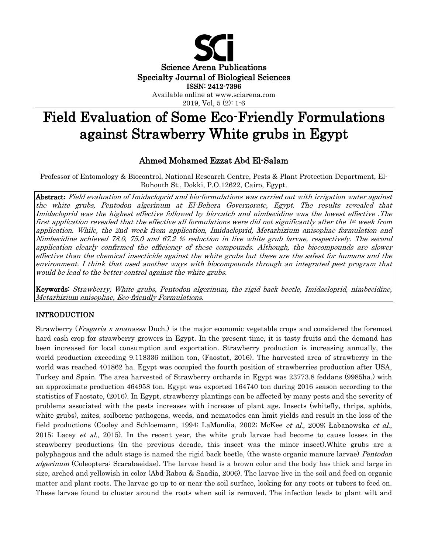

2019, Vol, 5 (2): 1-6

# Field Evaluation of Some Eco-Friendly Formulations against Strawberry White grubs in Egypt

# Ahmed Mohamed Ezzat Abd El-Salam

Professor of Entomology & Biocontrol, National Research Centre, Pests & Plant Protection Department, El-Buhouth St., Dokki, P.O.12622, Cairo, Egypt.

Abstract**:** Field evaluation of Imidacloprid and bio-formulations was carried out with irrigation water against the white grubs, Pentodon algerinum at El-Behera Governorate, Egypt. The results revealed that Imidacloprid was the highest effective followed by bio-catch and nimbecidine was the lowest effective .The first application revealed that the effective all formulations were did not significantly after the 1st week from application. While, the 2nd week from application, Imidacloprid, Metarhizium anisopliae formulation and Nimbecidine achieved 78.0, 75.0 and 67.2 % reduction in live white grub larvae, respectively. The second application clearly confirmed the efficiency of these compounds. Although, the biocompounds are slower effective than the chemical insecticide against the white grubs but these are the safest for humans and the environment. I think that used another ways with biocompounds through an integrated pest program that would be lead to the better control against the white grubs.

Keywords: Strawberry, White grubs, Pentodon algerinum, the rigid back beetle, Imidacloprid, nimbecidine, Metarhizium anisopliae, Eco-friendly Formulations.

## INTRODUCTION

Strawberry (*Fragaria x ananassa* Duch.) is the major economic vegetable crops and considered the foremost hard cash crop for strawberry growers in Egypt. In the present time, it is tasty fruits and the demand has been increased for local consumption and exportation. Strawberry production is increasing annually, the world production exceeding 9.118336 million ton, (Faostat, 2016). The harvested area of strawberry in the world was reached 401862 ha. Egypt was occupied the fourth position of strawberries production after USA, Turkey and Spain. The area harvested of Strawberry orchards in Egypt was 23773.8 feddans (9985ha.) with an approximate production 464958 ton. Egypt was exported 164740 ton during 2016 season according to the statistics of Faostate, (2016). In Egypt, strawberry plantings can be affected by many pests and the severity of problems associated with the pests increases with increase of plant age. Insects (whitefly, thrips, aphids, white grubs), mites, soilborne pathogens, weeds, and nematodes can limit yields and result in the loss of the field productions (Cooley and Schloemann, 1994; LaMondia, 2002; McKee *et al.*, 2009; Łabanowska *et al.*, 2015; Lacey *et al.*, 2015). In the recent year, the white grub larvae had become to cause losses in the strawberry productions (In the previous decade, this insect was the minor insect).White grubs are a polyphagous and the adult stage is named the rigid back beetle, (the waste organic manure larvae) Pentodon algerinum (Coleoptera: Scarabaeidae). The larvae head is a brown color and the body has thick and large in size, arched and yellowish in color (Abd-Rabou & Saadia, 2006). The larvae live in the soil and feed on organic matter and plant roots. The larvae go up to or near the soil surface, looking for any roots or tubers to feed on. These larvae found to cluster around the roots when soil is removed. The infection leads to plant wilt and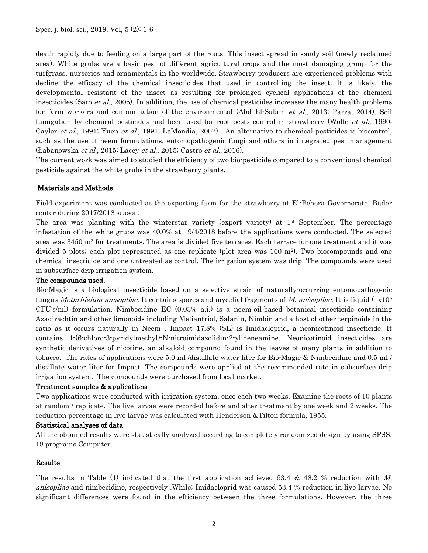death rapidly due to feeding on a large part of the roots. This insect spread in sandy soil (newly reclaimed area). White grubs are a basic pest of different agricultural crops and the most damaging group for the turfgrass, nurseries and ornamentals in the worldwide. Strawberry producers are experienced problems with decline the efficacy of the chemical insecticides that used in controlling the insect. It is likely, the developmental resistant of the insect as resulting for prolonged cyclical applications of the chemical insecticides (Sato *et al.*, 2005). In addition, the use of chemical pesticides increases the many health problems for farm workers and contamination of the environmental (Abd El-Salam *et al.*, 2013; Parra, 2014). Soil fumigation by chemical pesticides had been used for root pests control in strawberry (Wolfe *et al.*, 1990; Caylor et al., 1991; Yuen et al., 1991; LaMondia, 2002). An alternative to chemical pesticides is biocontrol, such as the use of neem formulations, entomopathogenic fungi and others in integrated pest management (Łabanowska et al., 2015; Lacey et al., 2015; Castro et al., 2016).

The current work was aimed to studied the efficiency of two bio-pesticide compared to a conventional chemical pesticide against the white grubs in the strawberry plants.

## Materials and Methods

Field experiment was conducted at the exporting farm for the strawberry at El-Behera Governorate, Bader center during 2017/2018 season.

The area was planting with the winterstar variety (export variety) at 1st September. The percentage infestation of the white grubs was 40.0% at 19/4/2018 before the applications were conducted. The selected area was 3450 m<sup>2</sup> for treatments. The area is divided five terraces. Each terrace for one treatment and it was divided 5 plots; each plot represented as one replicate (plot area was 160 m<sup>2</sup>). Two biocompounds and one chemical insecticide and one untreated as control. The irrigation system was drip. The compounds were used in subsurface drip irrigation system.

#### The compounds used.

Bio-Magic is a biological insecticide based on a selective strain of naturally-occurring entomopathogenic fungus *Metarhizium anisopliae*. It contains spores and mycelial fragments of *M. anisopliae*. It is liquid (1x10<sup>9</sup>) CFU's/ml) formulation. Nimbecidine EC (0.03% a.i.) is a neem-oil-based botanical insecticide containing Azadirachtin and other limonoids including Meliantriol, Salanin, Nimbin and a host of other terpinoids in the ratio as it occurs naturally in Neem . Impact 17.8% (SL) is Imidacloprid, a neonicotinoid insecticide. It contains 1-(6-chloro-3-pyridylmethyl)-N-nitroimidazolidin-2-ylideneamine. Neonicotinoid insecticides are synthetic derivatives of nicotine, an alkaloid compound found in the leaves of many plants in addition to tobacco. The rates of applications were 5.0 ml /distillate water liter for Bio-Magic & Nimbecidine and 0.5 ml / distillate water liter for Impact. The compounds were applied at the recommended rate in subsurface drip irrigation system. The compounds were purchased from local market.

#### Treatment samples & applications

Two applications were conducted with irrigation system, once each two weeks. Examine the roots of 10 plants at random / replicate. The live larvae were recorded before and after treatment by one week and 2 weeks. The reduction percentage in live larvae was calculated with Henderson &Tilton formula, 1955.

#### Statistical analyses of data

All the obtained results were statistically analyzed according to completely randomized design by using SPSS, 18 programs Computer.

#### Results

The results in Table (1) indicated that the first application achieved 53.4 & 48.2 % reduction with M. anisopliae and nimbecidine, respectively .While; Imidacloprid was caused 53.4 % reduction in live larvae. No significant differences were found in the efficiency between the three formulations. However, the three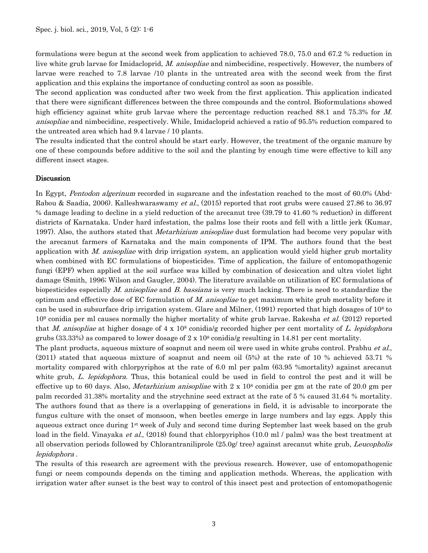formulations were begun at the second week from application to achieved 78.0, 75.0 and 67.2 % reduction in live white grub larvae for Imidacloprid, M. anisopliae and nimbecidine, respectively. However, the numbers of larvae were reached to 7.8 larvae /10 plants in the untreated area with the second week from the first application and this explains the importance of conducting control as soon as possible.

The second application was conducted after two week from the first application. This application indicated that there were significant differences between the three compounds and the control. Bioformulations showed high efficiency against white grub larvae where the percentage reduction reached 88.1 and 75.3% for M. anisopliae and nimbecidine, respectively. While, Imidacloprid achieved a ratio of 95.5% reduction compared to the untreated area which had 9.4 larvae / 10 plants.

The results indicated that the control should be start early. However, the treatment of the organic manure by one of these compounds before additive to the soil and the planting by enough time were effective to kill any different insect stages.

#### Discussion

In Egypt, *Pentodon algerinum* recorded in sugarcane and the infestation reached to the most of 60.0% (Abd-Rabou & Saadia, 2006). Kalleshwaraswamy et al., (2015) reported that root grubs were caused 27.86 to 36.97 % damage leading to decline in a yield reduction of the arecanut tree (39.79 to 41.60 % reduction) in different districts of Karnataka. Under hard infestation, the palms lose their roots and fell with a little jerk (Kumar, 1997). Also, the authors stated that *Metarhizium anisopliae* dust formulation had become very popular with the arecanut farmers of Karnataka and the main components of IPM. The authors found that the best application with M. anisopliae with drip irrigation system, an application would yield higher grub mortality when combined with EC formulations of biopesticides. Time of application, the failure of entomopathogenic fungi (EPF) when applied at the soil surface was killed by combination of desiccation and ultra violet light damage (Smith, 1996; Wilson and Gaugler, 2004). The literature available on utilization of EC formulations of biopesticides especially M. anisopliae and B. bassiana is very much lacking. There is need to standardize the optimum and effective dose of EC formulation of M. anisopliae to get maximum white grub mortality before it can be used in subsurface drip irrigation system. Glare and Milner, (1991) reported that high dosages of 108 to  $10<sup>9</sup>$  conidia per ml causes normally the higher mortality of white grub larvae. Rakesha *et al.* (2012) reported that M. anisopliae at higher dosage of  $4 \times 10^8$  conidialg recorded higher per cent mortality of L. lepidophora grubs  $(33.33%)$  as compared to lower dosage of  $2 \times 10<sup>8</sup>$  conidia/g resulting in 14.81 per cent mortality.

The plant products, aqueous mixture of soapnut and neem oil were used in white grubs control. Prabhu *et al.*, (2011) stated that aqueous mixture of soapnut and neem oil (5%) at the rate of 10 % achieved 53.71 % mortality compared with chlorpyriphos at the rate of 6.0 ml per palm (63.95 %mortality) against arecanut white grub, L. lepidophora. Thus, this botanical could be used in field to control the pest and it will be effective up to 60 days. Also, *Metarhizium anisopliae* with  $2 \times 10^8$  conidia per gm at the rate of 20.0 gm per palm recorded 31.38% mortality and the strychnine seed extract at the rate of 5 % caused 31.64 % mortality. The authors found that as there is a overlapping of generations in field, it is advisable to incorporate the fungus culture with the onset of monsoon, when beetles emerge in large numbers and lay eggs. Apply this aqueous extract once during 1<sup>st</sup> week of July and second time during September last week based on the grub load in the field. Vinayaka *et al.*, (2018) found that chlorpyriphos (10.0 ml / palm) was the best treatment at all observation periods followed by Chlorantraniliprole (25.0g/ tree) against arecanut white grub, Leucopholis lepidophora .

The results of this research are agreement with the previous research. However, use of entomopathogenic fungi or neem compounds depends on the timing and application methods. Whereas, the application with irrigation water after sunset is the best way to control of this insect pest and protection of entomopathogenic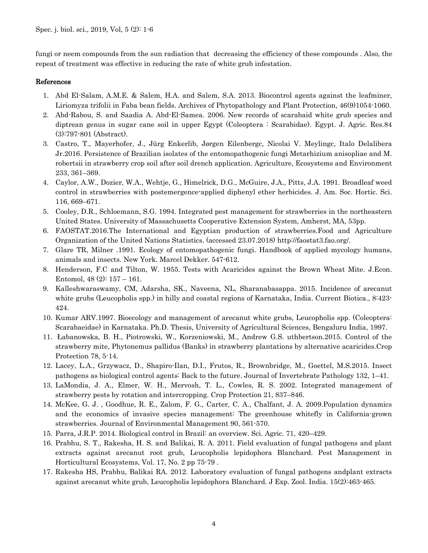fungi or neem compounds from the sun radiation that decreasing the efficiency of these compounds . Also, the repeat of treatment was effective in reducing the rate of white grub infestation.

#### References

- 1. Abd El-Salam, A.M.E. & Salem, H.A. and Salem, S.A. 2013. Biocontrol agents against the leafminer, Liriomyza trifolii in Faba bean fields. Archives of Phytopathology and Plant Protection, 46(9)1054-1060.
- 2. Abd-Rabou, S. and Saadia A. Abd-El-Samea. 2006. New records of scarabaid white grub species and diptrean genus in sugar cane soil in upper Egypt (Coleoptera : Scarabidae). Egypt. J. Agric. Res.84 (3):797-801 (Abstract).
- 3. Castro, T., Mayerhofer, J., Jürg Enkerlib, Jørgen Eilenbergc, Nicolai V. Meylingc, Italo Delalibera Jr.2016. Persistence of Brazilian isolates of the entomopathogenic fungi Metarhizium anisopliae and M. robertsii in strawberry crop soil after soil drench application. Agriculture, Ecosystems and Environment 233, 361–369.
- 4. Caylor, A.W., Dozier, W.A., Wehtje, G., Himelrick, D.G., McGuire, J.A., Pitts, J.A. 1991. Broadleaf weed control in strawberries with postemergence-applied diphenyl ether herbicides. J. Am. Soc. Hortic. Sci. 116, 669–671.
- 5. Cooley, D.R., Schloemann, S.G. 1994. Integrated pest management for strawberries in the northeastern United States. University of Massachusetts Cooperative Extension System, Amherst, MA, 53pp.
- 6. FAOSTAT.2016.The International and Egyptian production of strawberries.Food and Agriculture Organization of the United Nations Statistics. (accessed 23.07.2018) http://faostat3.fao.org/.
- 7. Glare TR, Milner .1991. Ecology of entomopathogenic fungi. Handbook of applied mycology humans, animals and insects. New York. Marcel Dekker. 547-612.
- 8. Henderson, F.C and Tilton, W. 1955. Tests with Acaricides against the Brown Wheat Mite. J.Econ. Entomol, 48 (2): 157 – 161.
- 9. Kalleshwaraswamy, CM, Adarsha, SK., Naveena, NL, Sharanabasappa. 2015. Incidence of arecanut white grubs (Leucopholis spp.) in hilly and coastal regions of Karnataka, India. Current Biotica., 8:423- 424.
- 10. Kumar ARV.1997. Bioecology and management of arecanut white grubs, Leucopholis spp. (Coleoptera: Scarabaeidae) in Karnataka. Ph.D. Thesis, University of Agricultural Sciences, Bengaluru India, 1997.
- 11. Łabanowska, B. H., Piotrowski, W., Korzeniowski, M., Andrew G.S. uthbertson.2015. Control of the strawberry mite, Phytonemus pallidus (Banks) in strawberry plantations by alternative acaricides.Crop Protection 78, 5-14.
- 12. Lacey, L.A., Grzywacz, D., Shapiro-Ilan, D.I., Frutos, R., Brownbridge, M., Goettel, M.S.2015. Insect pathogens as biological control agents: Back to the future. Journal of Invertebrate Pathology 132, 1–41.
- 13. LaMondia, J. A., Elmer, W. H., Mervosh, T. L., Cowles, R. S. 2002. Integrated management of strawberry pests by rotation and intercropping. Crop Protection 21, 837–846.
- 14. McKee, G. J. , Goodhue, R. E., Zalom, F. G., Carter, C. A., Chalfant, J. A. 2009.Population dynamics and the economics of invasive species management: The greenhouse whitefly in California-grown strawberries. Journal of Environmental Management 90, 561-570.
- 15. Parra, J.R.P. 2014. Biological control in Brazil: an overview. Sci. Agric. 71, 420–429.
- 16. Prabhu, S. T., Rakesha, H. S. and Balikai, R. A. 2011. Field evaluation of fungal pathogens and plant extracts against arecanut root grub, Leucopholis lepidophora Blanchard. Pest Management in Horticultural Ecosystems, Vol. 17, No. 2 pp 75-79 .
- 17. Rakesha HS, Prabhu, Balikai RA. 2012. Laboratory evaluation of fungal pathogens andplant extracts against arecanut white grub, Leucopholis lepidophora Blanchard. J Exp. Zool. India. 15(2):463-465.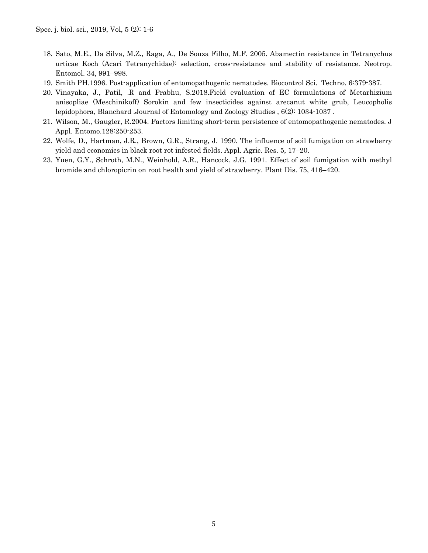- 18. Sato, M.E., Da Silva, M.Z., Raga, A., De Souza Filho, M.F. 2005. Abamectin resistance in Tetranychus urticae Koch (Acari Tetranychidae): selection, cross-resistance and stability of resistance. Neotrop. Entomol. 34, 991–998.
- 19. Smith PH.1996. Post-application of entomopathogenic nematodes. Biocontrol Sci. Techno. 6:379-387.
- 20. Vinayaka, J., Patil, .R and Prabhu, S.2018.Field evaluation of EC formulations of Metarhizium anisopliae (Meschinikoff) Sorokin and few insecticides against arecanut white grub, Leucopholis lepidophora, Blanchard .Journal of Entomology and Zoology Studies ,  $6(2)$ : 1034-1037.
- 21. Wilson, M., Gaugler, R.2004. Factors limiting short-term persistence of entomopathogenic nematodes. J Appl. Entomo.128:250-253.
- 22. Wolfe, D., Hartman, J.R., Brown, G.R., Strang, J. 1990. The influence of soil fumigation on strawberry yield and economics in black root rot infested fields. Appl. Agric. Res. 5, 17–20.
- 23. Yuen, G.Y., Schroth, M.N., Weinhold, A.R., Hancock, J.G. 1991. Effect of soil fumigation with methyl bromide and chloropicrin on root health and yield of strawberry. Plant Dis. 75, 416–420.